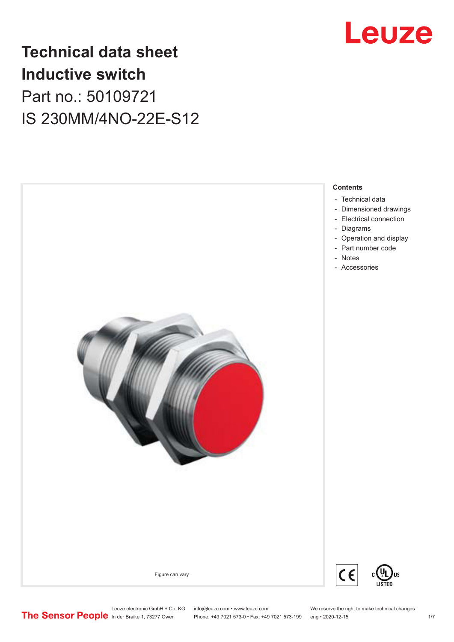

## **Technical data sheet Inductive switch** Part no.: 50109721 IS 230MM/4NO-22E-S12



Leuze electronic GmbH + Co. KG info@leuze.com • www.leuze.com We reserve the right to make technical changes<br>
The Sensor People in der Braike 1, 73277 Owen Phone: +49 7021 573-0 • Fax: +49 7021 573-199 eng • 2020-12-15 Phone: +49 7021 573-0 • Fax: +49 7021 573-199 eng • 2020-12-15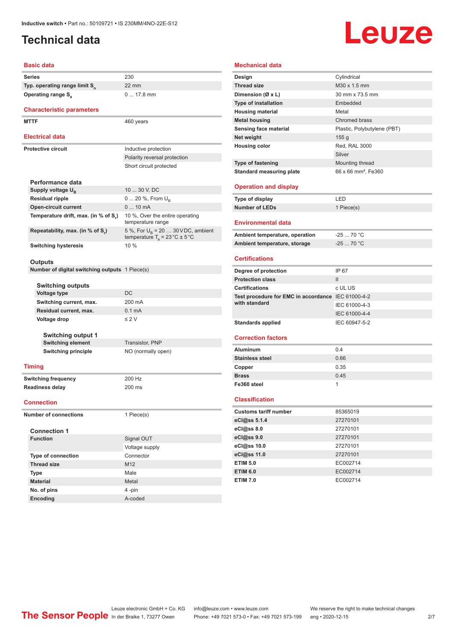## <span id="page-1-0"></span>**Technical data**

# Leuze

#### **Basic data**

**Series** 230 **Typ. operating range limit S<sup>n</sup> Operating range S<sub>a</sub>** 

### **Characteristic parameters**

MTTF 460 years

#### **Electrical data**

| Electrical data                      |                                                                                          |  |  |  |
|--------------------------------------|------------------------------------------------------------------------------------------|--|--|--|
| Protective circuit                   | Inductive protection                                                                     |  |  |  |
|                                      | Polarity reversal protection                                                             |  |  |  |
|                                      | Short circuit protected                                                                  |  |  |  |
| Performance data                     |                                                                                          |  |  |  |
| Supply voltage U <sub>p</sub>        | 10  30 V, DC                                                                             |  |  |  |
| <b>Residual ripple</b>               | $0 20 \%$ , From $U_{\rm B}$                                                             |  |  |  |
| <b>Open-circuit current</b>          | $010$ mA                                                                                 |  |  |  |
| Temperature drift, max. (in % of S.) | 10 %, Over the entire operating<br>temperature range                                     |  |  |  |
| Repeatability, max. (in % of S.)     | 5 %, For $U_R$ = 20  30 VDC, ambient<br>temperature $T_a = 23 \degree C \pm 5 \degree C$ |  |  |  |
| <b>Switching hysteresis</b>          | 10%                                                                                      |  |  |  |

22 mm

0 ... 17.8 mm

#### **Outputs**

**Number of digital switching outputs** 1 Piece(s)

#### **Switching outputs**

| <b>OWILCHING</b> UULPULO  |                  |
|---------------------------|------------------|
| <b>Voltage type</b>       | DC.              |
| Switching current, max.   | 200 mA           |
| Residual current, max.    | $0.1 \text{ mA}$ |
| Voltage drop              | $\leq$ 2 V       |
| <b>Switching output 1</b> |                  |
|                           |                  |

**Switching element** Transistor, PNP **Switching principle** NO (normally open)

#### **Timing**

**Switching frequency** 200 Hz **Readiness delay** 200 ms

#### **Connection**

**Number of connections** 1 Piece(s)

| <b>Connection 1</b>       |                 |  |
|---------------------------|-----------------|--|
| <b>Function</b>           | Signal OUT      |  |
|                           | Voltage supply  |  |
| <b>Type of connection</b> | Connector       |  |
| <b>Thread size</b>        | M <sub>12</sub> |  |
| <b>Type</b>               | Male            |  |
| <b>Material</b>           | Metal           |  |
| No. of pins               | 4-pin           |  |
| <b>Encoding</b>           | A-coded         |  |

#### **Mechanical data Design** Cylindrical **Thread size** M30 x 1.5 mm **Dimension (Ø x L)** 30 mm x 73.5 mm **Type of installation** Embedded **Housing material Metal Metal housing** Chromed brass **Sensing face material** Plastic, Polybutylene (PBT) **Net weight** 155 g **Housing color** Red, RAL 3000 Silver **Type of fastening** Mounting thread **Standard measuring plate** 66 x 66 mm<sup>2</sup>, Fe360 **Operation and display Type of display** LED **Number of LEDs** 1 Piece(s) **Environmental data** Ambient temperature, operation -25 ... 70 °C **Ambient temperature, storage** -25 ... 70 °C **Certifications Degree of protection** IP 67 **Protection class** III **Certifications** c UL US **Test procedure for EMC in accordance**  IEC 61000-4-2 **with standard** IEC 61000-4-3 IEC 61000-4-4 Standards applied **IEC 60947-5-2**

#### **Correction factors**

| <b>Aluminum</b>        | 0.4  |
|------------------------|------|
| <b>Stainless steel</b> | 0.66 |
| Copper                 | 0.35 |
| <b>Brass</b>           | 0.45 |
| Fe360 steel            |      |

#### **Classification**

| <b>Customs tariff number</b> | 85365019 |
|------------------------------|----------|
| eCl@ss 5.1.4                 | 27270101 |
| eCl@ss 8.0                   | 27270101 |
| eCl@ss 9.0                   | 27270101 |
| eCl@ss 10.0                  | 27270101 |
| eCl@ss 11.0                  | 27270101 |
| <b>ETIM 5.0</b>              | EC002714 |
| <b>ETIM 6.0</b>              | EC002714 |
| <b>ETIM 7.0</b>              | EC002714 |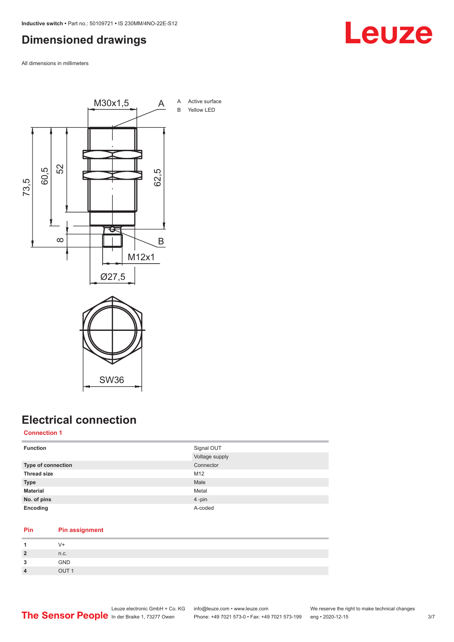## <span id="page-2-0"></span>**Dimensioned drawings**

All dimensions in millimeters



SW36

## **Electrical connection**

#### **Connection 1**

| <b>Function</b>           | Signal OUT     |
|---------------------------|----------------|
|                           | Voltage supply |
| <b>Type of connection</b> | Connector      |
| <b>Thread size</b>        | M12            |
| <b>Type</b>               | Male           |
| <b>Material</b>           | Metal          |
| No. of pins               | 4-pin          |
| Encoding                  | A-coded        |

#### **Pin Pin assignment**

|                         | V+               |
|-------------------------|------------------|
| $\overline{2}$          | n.c.             |
| 0<br>- 12               | GND              |
| $\overline{\mathbf{4}}$ | OUT <sub>1</sub> |

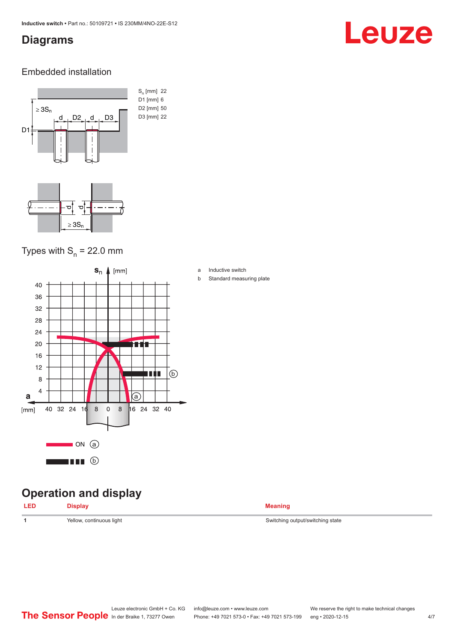### <span id="page-3-0"></span>**Diagrams**

# Leuze

### Embedded installation



## Types with  $S_{n}$  = 22.0 mm



## **Operation and display**

| <b>Meaning</b> |
|----------------|
|                |

1 Yellow, continuous light **Velow, and Switching state** Switching output/switching state

a Inductive switch

b Standard measuring plate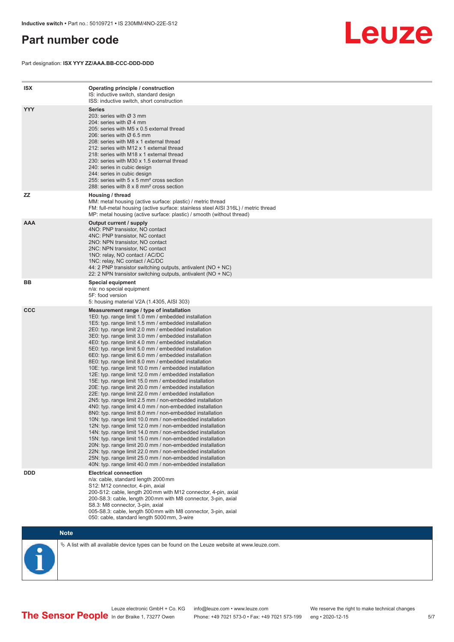## <span id="page-4-0"></span>**Part number code**

Part designation: **ISX YYY ZZ/AAA.BB-CCC-DDD-DDD**



| <b>ISX</b> | Operating principle / construction<br>IS: inductive switch, standard design<br>ISS: inductive switch, short construction                                                                                                                                                                                                                                                                                                                                                                                                                                                                                                                                                                                                                                                                                                                                                                                                                                                                                                                                                                                                                                                                                                                                                                                                                                                                                                                                                                          |
|------------|---------------------------------------------------------------------------------------------------------------------------------------------------------------------------------------------------------------------------------------------------------------------------------------------------------------------------------------------------------------------------------------------------------------------------------------------------------------------------------------------------------------------------------------------------------------------------------------------------------------------------------------------------------------------------------------------------------------------------------------------------------------------------------------------------------------------------------------------------------------------------------------------------------------------------------------------------------------------------------------------------------------------------------------------------------------------------------------------------------------------------------------------------------------------------------------------------------------------------------------------------------------------------------------------------------------------------------------------------------------------------------------------------------------------------------------------------------------------------------------------------|
| <b>YYY</b> | <b>Series</b><br>203: series with Ø 3 mm<br>204: series with $\varnothing$ 4 mm<br>205: series with M5 x 0.5 external thread<br>206: series with $\varnothing$ 6.5 mm<br>208: series with M8 x 1 external thread<br>212: series with M12 x 1 external thread<br>218: series with M18 x 1 external thread<br>230: series with M30 x 1.5 external thread<br>240: series in cubic design<br>244: series in cubic design<br>255: series with 5 x 5 mm <sup>2</sup> cross section<br>288: series with 8 x 8 mm <sup>2</sup> cross section                                                                                                                                                                                                                                                                                                                                                                                                                                                                                                                                                                                                                                                                                                                                                                                                                                                                                                                                                              |
| <b>ZZ</b>  | Housing / thread<br>MM: metal housing (active surface: plastic) / metric thread<br>FM: full-metal housing (active surface: stainless steel AISI 316L) / metric thread<br>MP: metal housing (active surface: plastic) / smooth (without thread)                                                                                                                                                                                                                                                                                                                                                                                                                                                                                                                                                                                                                                                                                                                                                                                                                                                                                                                                                                                                                                                                                                                                                                                                                                                    |
| <b>AAA</b> | Output current / supply<br>4NO: PNP transistor, NO contact<br>4NC: PNP transistor, NC contact<br>2NO: NPN transistor, NO contact<br>2NC: NPN transistor, NC contact<br>1NO: relay, NO contact / AC/DC<br>1NC: relay, NC contact / AC/DC<br>44: 2 PNP transistor switching outputs, antivalent (NO + NC)<br>22: 2 NPN transistor switching outputs, antivalent (NO + NC)                                                                                                                                                                                                                                                                                                                                                                                                                                                                                                                                                                                                                                                                                                                                                                                                                                                                                                                                                                                                                                                                                                                           |
| BB         | <b>Special equipment</b><br>n/a: no special equipment<br>5F: food version<br>5: housing material V2A (1.4305, AISI 303)                                                                                                                                                                                                                                                                                                                                                                                                                                                                                                                                                                                                                                                                                                                                                                                                                                                                                                                                                                                                                                                                                                                                                                                                                                                                                                                                                                           |
| <b>CCC</b> | Measurement range / type of installation<br>1E0: typ. range limit 1.0 mm / embedded installation<br>1E5: typ. range limit 1.5 mm / embedded installation<br>2E0: typ. range limit 2.0 mm / embedded installation<br>3E0: typ. range limit 3.0 mm / embedded installation<br>4E0: typ. range limit 4.0 mm / embedded installation<br>5E0: typ. range limit 5.0 mm / embedded installation<br>6E0: typ. range limit 6.0 mm / embedded installation<br>8E0: typ. range limit 8.0 mm / embedded installation<br>10E: typ. range limit 10.0 mm / embedded installation<br>12E: typ. range limit 12.0 mm / embedded installation<br>15E: typ. range limit 15.0 mm / embedded installation<br>20E: typ. range limit 20.0 mm / embedded installation<br>22E: typ. range limit 22.0 mm / embedded installation<br>2N5: typ. range limit 2.5 mm / non-embedded installation<br>4N0: typ. range limit 4.0 mm / non-embedded installation<br>8NO: typ. range limit 8.0 mm / non-embedded installation<br>10N: typ. range limit 10.0 mm / non-embedded installation<br>12N: typ. range limit 12.0 mm / non-embedded installation<br>14N: typ. range limit 14.0 mm / non-embedded installation<br>15N: typ. range limit 15.0 mm / non-embedded installation<br>20N: typ. range limit 20.0 mm / non-embedded installation<br>22N: typ. range limit 22.0 mm / non-embedded installation<br>25N: typ. range limit 25.0 mm / non-embedded installation<br>40N: typ. range limit 40.0 mm / non-embedded installation |
| <b>DDD</b> | <b>Electrical connection</b><br>n/a: cable, standard length 2000 mm<br>S12: M12 connector, 4-pin, axial<br>200-S12: cable, length 200 mm with M12 connector, 4-pin, axial<br>200-S8.3: cable, length 200 mm with M8 connector, 3-pin, axial<br>S8.3: M8 connector, 3-pin, axial<br>005-S8.3: cable, length 500 mm with M8 connector, 3-pin, axial<br>050: cable, standard length 5000 mm, 3-wire                                                                                                                                                                                                                                                                                                                                                                                                                                                                                                                                                                                                                                                                                                                                                                                                                                                                                                                                                                                                                                                                                                  |

**Note**

 $\%$  A list with all available device types can be found on the Leuze website at www.leuze.com.

Leuze electronic GmbH + Co. KG info@leuze.com • www.leuze.com We reserve the right to make technical changes In der Braike 1, 73277 Owen Phone: +49 7021 573-0 • Fax: +49 7021 573-199 eng • 2020-12-15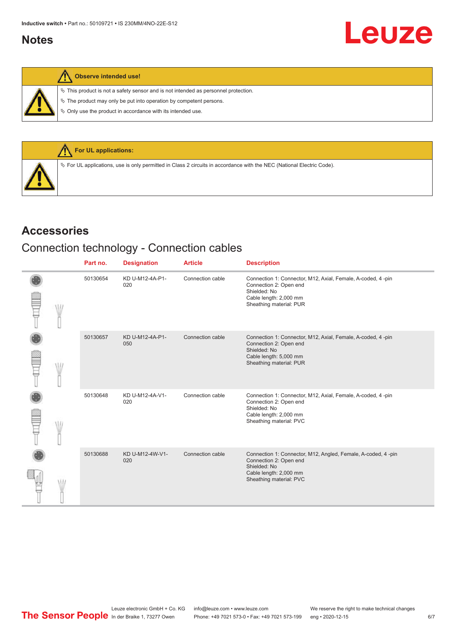## <span id="page-5-0"></span>**Notes**

 $\%$  This product is not a safety sensor and is not intended as personnel protection.

 $\&$  The product may only be put into operation by competent persons.

 $\%$  Only use the product in accordance with its intended use.



## **Accessories**

## Connection technology - Connection cables

|  | Part no. | <b>Designation</b>     | <b>Article</b>   | <b>Description</b>                                                                                                                                           |
|--|----------|------------------------|------------------|--------------------------------------------------------------------------------------------------------------------------------------------------------------|
|  | 50130654 | KD U-M12-4A-P1-<br>020 | Connection cable | Connection 1: Connector, M12, Axial, Female, A-coded, 4-pin<br>Connection 2: Open end<br>Shielded: No<br>Cable length: 2,000 mm<br>Sheathing material: PUR   |
|  | 50130657 | KD U-M12-4A-P1-<br>050 | Connection cable | Connection 1: Connector, M12, Axial, Female, A-coded, 4-pin<br>Connection 2: Open end<br>Shielded: No<br>Cable length: 5,000 mm<br>Sheathing material: PUR   |
|  | 50130648 | KD U-M12-4A-V1-<br>020 | Connection cable | Connection 1: Connector, M12, Axial, Female, A-coded, 4-pin<br>Connection 2: Open end<br>Shielded: No<br>Cable length: 2,000 mm<br>Sheathing material: PVC   |
|  | 50130688 | KD U-M12-4W-V1-<br>020 | Connection cable | Connection 1: Connector, M12, Angled, Female, A-coded, 4 -pin<br>Connection 2: Open end<br>Shielded: No<br>Cable length: 2,000 mm<br>Sheathing material: PVC |

Leuze